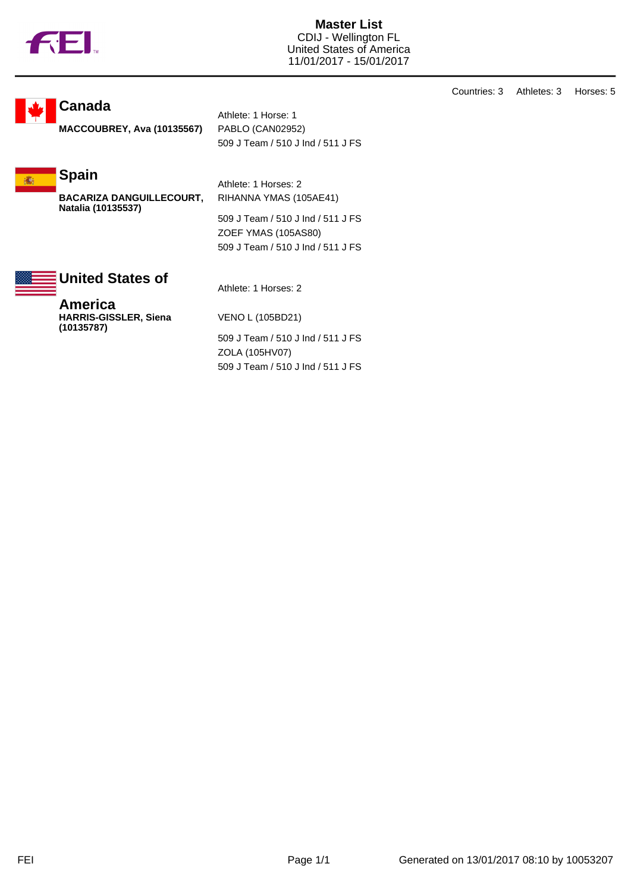

**Master List** CDIJ - Wellington FL United States of America 11/01/2017 - 15/01/2017

**Canada**

**MACCOUBREY, Ava (10135567)** PABLO (CAN02952)

Athlete: 1 Horse: 1 509 J Team / 510 J Ind / 511 J FS

**Spain 痛** 

> **BACARIZA DANGUILLECOURT, Natalia (10135537)**

509 J Team / 510 J Ind / 511 J FS ZOEF YMAS (105AS80) 509 J Team / 510 J Ind / 511 J FS

RIHANNA YMAS (105AE41)



Athlete: 1 Horses: 2

Athlete: 1 Horses: 2

**America HARRIS-GISSLER, Siena (10135787)**

VENO L (105BD21) 509 J Team / 510 J Ind / 511 J FS ZOLA (105HV07) 509 J Team / 510 J Ind / 511 J FS Countries: 3 Athletes: 3 Horses: 5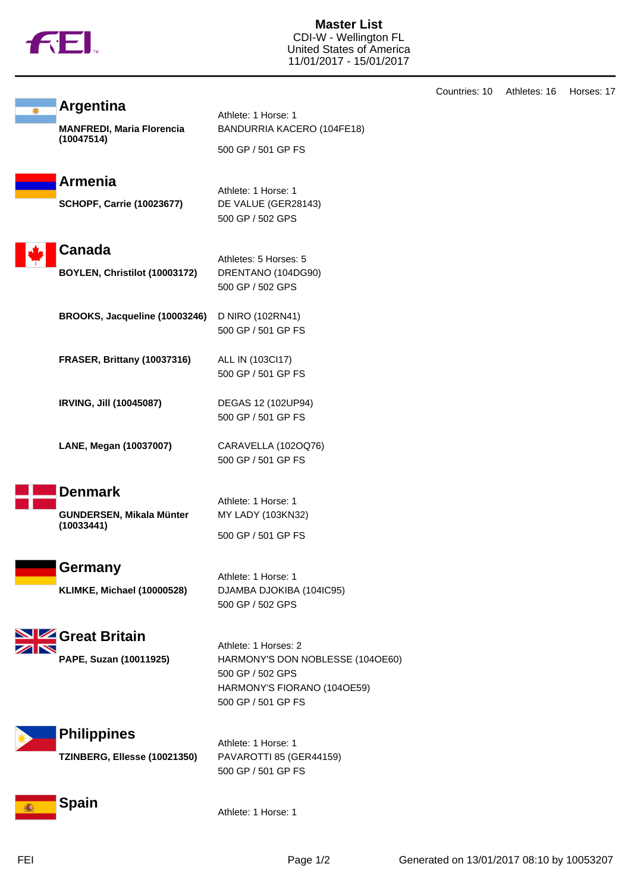

**Master List** CDI-W - Wellington FL United States of America 11/01/2017 - 15/01/2017

|   | <b>Argentina</b>                               | Athlete: 1 Horse: 1                                  |
|---|------------------------------------------------|------------------------------------------------------|
|   | <b>MANFREDI, Maria Florencia</b><br>(10047514) | BANDURRIA KACERO (104FE18)                           |
|   |                                                | 500 GP / 501 GP FS                                   |
|   | <b>Armenia</b>                                 | Athlete: 1 Horse: 1                                  |
|   | <b>SCHOPF, Carrie (10023677)</b>               | DE VALUE (GER28143)                                  |
|   |                                                | 500 GP / 502 GPS                                     |
|   | Canada                                         |                                                      |
|   | BOYLEN, Christilot (10003172)                  | Athletes: 5 Horses: 5<br>DRENTANO (104DG90)          |
|   |                                                | 500 GP / 502 GPS                                     |
|   | BROOKS, Jacqueline (10003246)                  | D NIRO (102RN41)                                     |
|   |                                                | 500 GP / 501 GP FS                                   |
|   | <b>FRASER, Brittany (10037316)</b>             | ALL IN (103Cl17)                                     |
|   |                                                | 500 GP / 501 GP FS                                   |
|   | <b>IRVING, Jill (10045087)</b>                 | DEGAS 12 (102UP94)                                   |
|   |                                                | 500 GP / 501 GP FS                                   |
|   | LANE, Megan (10037007)                         | CARAVELLA (102OQ76)                                  |
|   |                                                | 500 GP / 501 GP FS                                   |
|   | <b>Denmark</b>                                 | Athlete: 1 Horse: 1                                  |
|   | GUNDERSEN, Mikala Münter                       | MY LADY (103KN32)                                    |
|   | (10033441)                                     | 500 GP / 501 GP FS                                   |
|   |                                                |                                                      |
|   | Germany                                        | Athlete: 1 Horse: 1                                  |
|   | KLIMKE, Michael (10000528)                     | DJAMBA DJOKIBA (104IC95)<br>500 GP / 502 GPS         |
|   |                                                |                                                      |
|   | Great Britain                                  | Athlete: 1 Horses: 2                                 |
|   | PAPE, Suzan (10011925)                         | HARMONY'S DON NOBLESSE (104OE60)<br>500 GP / 502 GPS |
|   |                                                | HARMONY'S FIORANO (1040E59)                          |
|   |                                                | 500 GP / 501 GP FS                                   |
|   | <b>Philippines</b>                             |                                                      |
|   | TZINBERG, Ellesse (10021350)                   | Athlete: 1 Horse: 1<br>PAVAROTTI 85 (GER44159)       |
|   |                                                | 500 GP / 501 GP FS                                   |
|   | <b>Spain</b>                                   |                                                      |
| 癬 |                                                | Athlete: 1 Horse: 1                                  |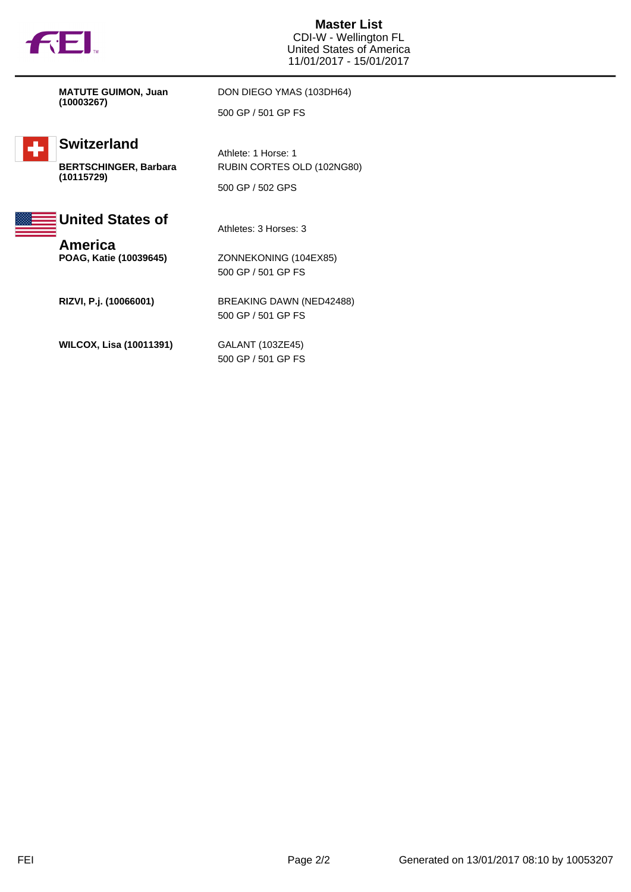

**Master List** CDI-W - Wellington FL United States of America 11/01/2017 - 15/01/2017

**MATUTE GUIMON, Juan (10003267)**

DON DIEGO YMAS (103DH64) 500 GP / 501 GP FS

RUBIN CORTES OLD (102NG80)



## **Switzerland**

**BERTSCHINGER, Barbara (10115729)**





Athletes: 3 Horses: 3

Athlete: 1 Horse: 1

**America**<br>**POAG, Katie (10039645)** 

**POAG, Katie (10039645)** ZONNEKONING (104EX85) 500 GP / 501 GP FS

**RIZVI, P.j. (10066001)** BREAKING DAWN (NED42488) 500 GP / 501 GP FS

**WILCOX, Lisa (10011391)** GALANT (103ZE45)

500 GP / 501 GP FS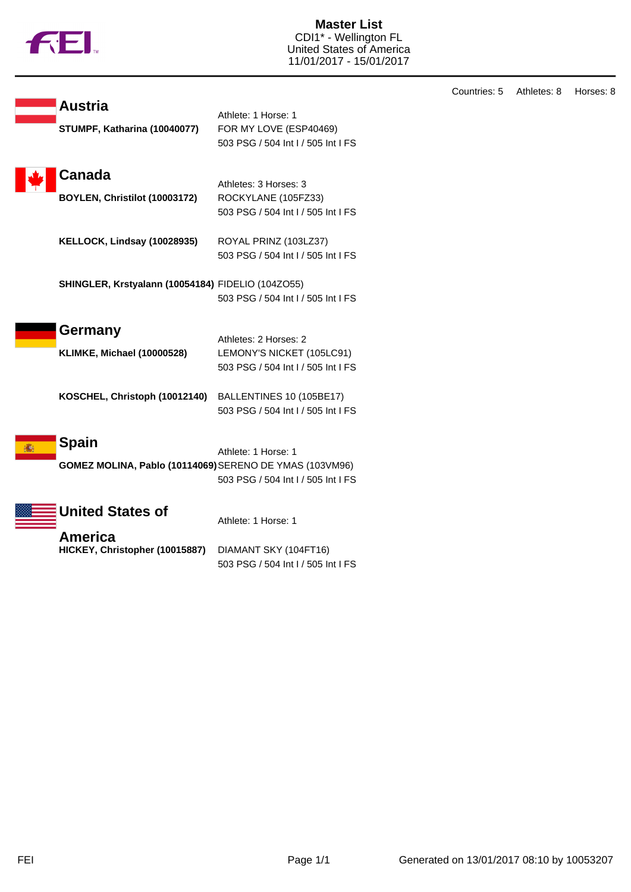

**Master List** CDI1\* - Wellington FL United States of America 11/01/2017 - 15/01/2017

| <b>Austria</b>                                          | Athlete: 1 Horse: 1                                       |
|---------------------------------------------------------|-----------------------------------------------------------|
| STUMPF, Katharina (10040077)                            | FOR MY LOVE (ESP40469)                                    |
|                                                         | 503 PSG / 504 Int I / 505 Int I FS                        |
|                                                         |                                                           |
| Canada                                                  |                                                           |
|                                                         | Athletes: 3 Horses: 3                                     |
| BOYLEN, Christilot (10003172)                           | ROCKYLANE (105FZ33)<br>503 PSG / 504 Int I / 505 Int I FS |
|                                                         |                                                           |
| KELLOCK, Lindsay (10028935)                             | ROYAL PRINZ (103LZ37)                                     |
|                                                         | 503 PSG / 504 Int I / 505 Int I FS                        |
|                                                         |                                                           |
| SHINGLER, Krstyalann (10054184) FIDELIO (104ZO55)       |                                                           |
|                                                         | 503 PSG / 504 Int I / 505 Int I FS                        |
|                                                         |                                                           |
| Germany                                                 | Athletes: 2 Horses: 2                                     |
| <b>KLIMKE, Michael (10000528)</b>                       | LEMONY'S NICKET (105LC91)                                 |
|                                                         | 503 PSG / 504 Int I / 505 Int I FS                        |
|                                                         |                                                           |
| KOSCHEL, Christoph (10012140)                           | BALLENTINES 10 (105BE17)                                  |
|                                                         | 503 PSG / 504 Int I / 505 Int I FS                        |
|                                                         |                                                           |
| Spain                                                   | Athlete: 1 Horse: 1                                       |
| GOMEZ MOLINA, Pablo (10114069) SERENO DE YMAS (103VM96) |                                                           |
|                                                         | 503 PSG / 504 Int I / 505 Int I FS                        |
|                                                         |                                                           |
| <b>United States of</b>                                 |                                                           |
|                                                         | Athlete: 1 Horse: 1                                       |
| America                                                 |                                                           |
| HICKEY, Christopher (10015887)                          | DIAMANT SKY (104FT16)                                     |
|                                                         | 503 PSG / 504 Int I / 505 Int I FS                        |

Countries: 5 Athletes: 8 Horses: 8